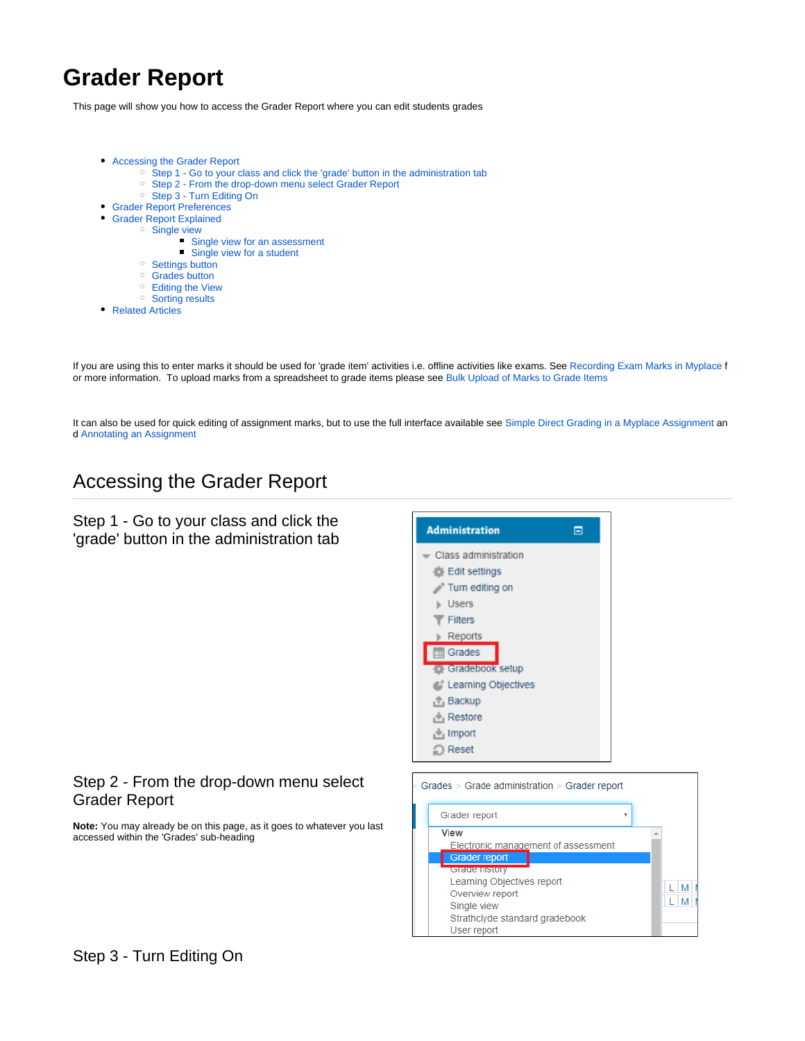# **Grader Report**

This page will show you how to access the Grader Report where you can edit students grades

- [Accessing the Grader Report](#page-0-0)
	- <sup>o</sup> [Step 1 Go to your class and click the 'grade' button in the administration tab](#page-0-1)
	- <sup>o</sup> [Step 2 From the drop-down menu select Grader Report](#page-0-2)
	- <sup>o</sup> [Step 3 Turn Editing On](#page-0-3)
- [Grader Report Preferences](#page-1-0)
- [Grader Report Explained](#page-1-1)
	- o [Single view](#page-1-2)
		- **[Single view for an assessment](#page-2-0)**
		- **[Single view for a student](#page-2-1)**
		- <sup>o</sup> [Settings button](#page-2-2)
		- <sup>o</sup> [Grades button](#page-2-3)
		- [Editing the View](#page-3-0)
	- <sup>o</sup> [Sorting results](#page-3-1)
- [Related Articles](#page-3-2)

If you are using this to enter marks it should be used for 'grade item' activities i.e. offline activities like exams. See [Recording Exam Marks in Myplace](https://wiki.lte.strath.ac.uk/display/MS/Recording+Exam+Marks+in+Myplace) f or more information. To upload marks from a spreadsheet to grade items please see [Bulk Upload of Marks to Grade Items](https://wiki.lte.strath.ac.uk/display/MS/Bulk+Upload+of+Marks+to+Grade+Items)

It can also be used for quick editing of assignment marks, but to use the full interface available see [Simple Direct Grading in a Myplace Assignment](https://wiki.lte.strath.ac.uk/display/MS/Simple+Direct+Grading+in+a+Myplace+Assignment) an d [Annotating an Assignment](https://wiki.lte.strath.ac.uk/display/MS/Annotating+an+Assignment)

## <span id="page-0-0"></span>Accessing the Grader Report

<span id="page-0-1"></span>Step 1 - Go to your class and click the 'grade' button in the administration tab



### <span id="page-0-2"></span>Step 2 - From the drop-down menu select Grader Report

<span id="page-0-3"></span>**Note:** You may already be on this page, as it goes to whatever you last accessed within the 'Grades' sub-heading

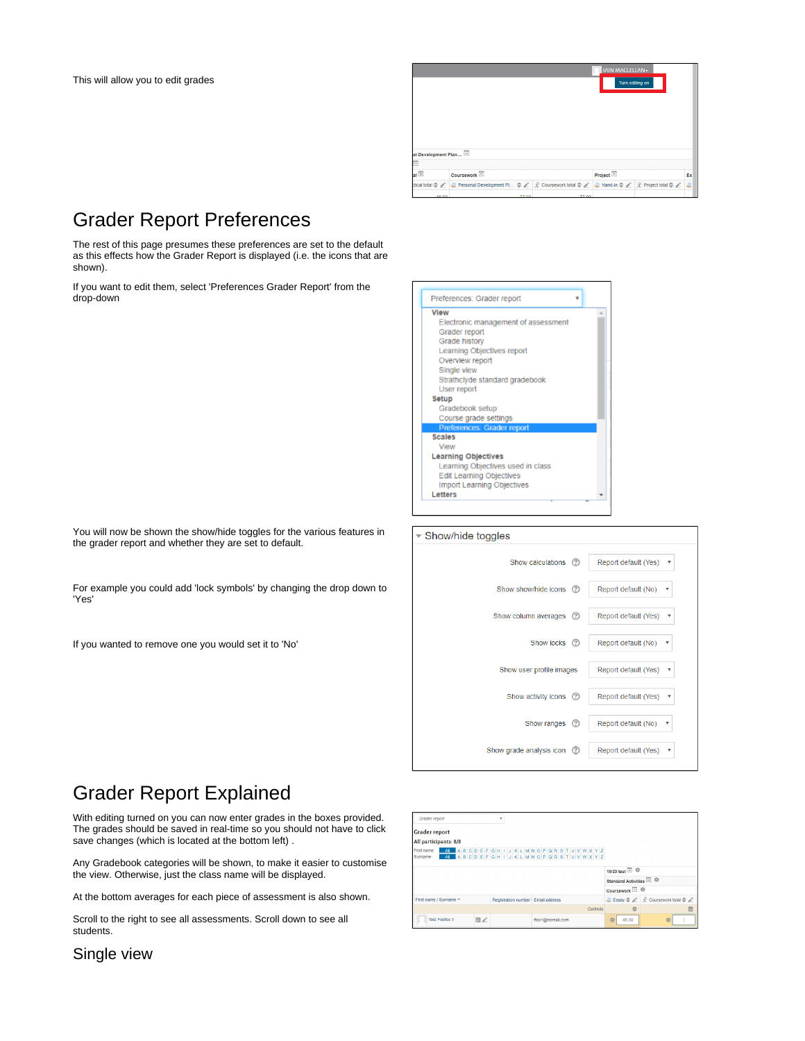

## <span id="page-1-0"></span>Grader Report Preferences

The rest of this page presumes these preferences are set to the default as this effects how the Grader Report is displayed (i.e. the icons that are shown).

If you want to edit them, select 'Preferences Grader Report' from the drop-down

| You will now be shown the show/hide toggles for the various features in |
|-------------------------------------------------------------------------|
| the grader report and whether they are set to default.                  |

For example you could add 'lock symbols' by changing the drop down to 'Yes'

If you wanted to remove one you would set it to 'No'





## <span id="page-1-1"></span>Grader Report Explained

With editing turned on you can now enter grades in the boxes provided. The grades should be saved in real-time so you should not have to click save changes (which is located at the bottom left) .

Any Gradebook categories will be shown, to make it easier to customise the view. Otherwise, just the class name will be displayed.

At the bottom averages for each piece of assessment is also shown.

Scroll to the right to see all assessments. Scroll down to see all students.



<span id="page-1-2"></span>Single view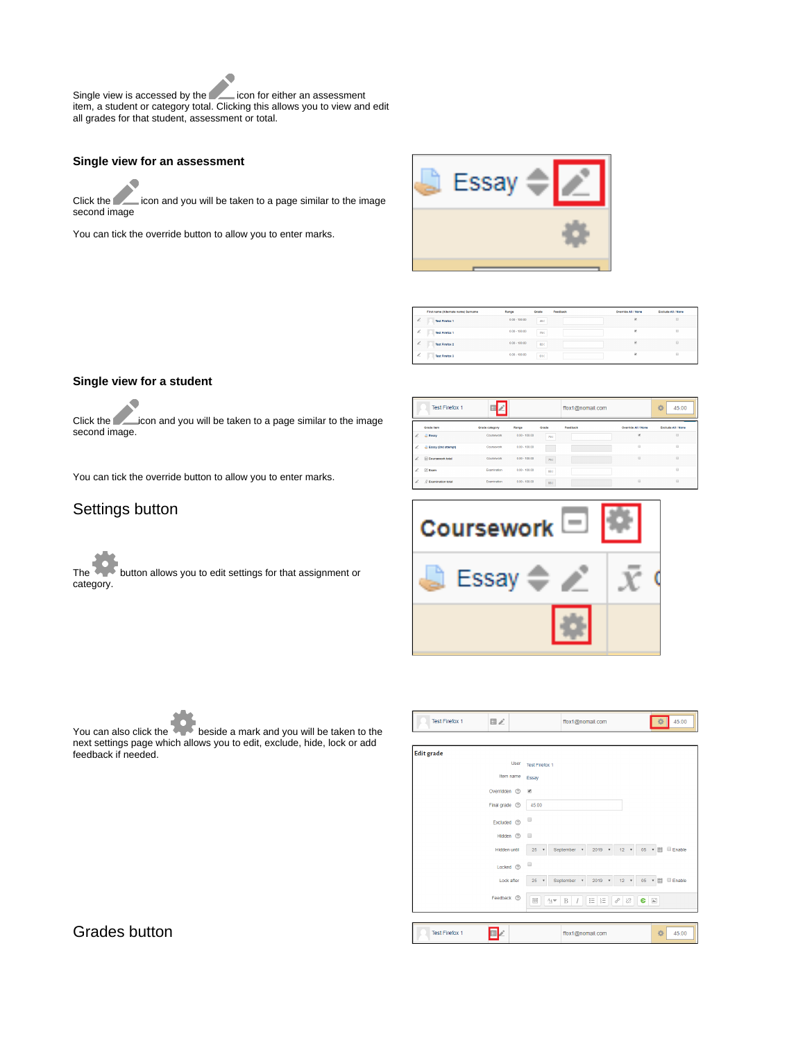Single view is accessed by the icon for either an assessment item, a student or category total. Clicking this allows you to view and edit all grades for that student, assessment or total.

#### <span id="page-2-0"></span>**Single view for an assessment**

Click the **interpretator** icon and you will be taken to a page similar to the image second image

You can tick the override button to allow you to enter marks.



|   | First name (Alternate name) Surname | Range           | Grade | Feedback | Override All / None | <b>Exclude All / None</b> |
|---|-------------------------------------|-----------------|-------|----------|---------------------|---------------------------|
| £ | <b>Test Firefox 1</b>               | $0.00 - 100.00$ | 45.0  |          | ×                   | $\Box$                    |
| i | <b>Test Firefox 1</b>               | $0.00 - 100.00$ | 79.0  |          | ø                   | G                         |
| Ł | <b>Test Firefox 2</b>               | $0.00 - 100.00$ | 42.0  |          | ø                   | $\Box$                    |
| i | <b>Test Firefox 3</b>               | $0.00 - 100.00$ | 61.0  |          | ×                   | G                         |

#### <span id="page-2-1"></span>**Single view for a student**

Click the **interpretator** icon and you will be taken to a page similar to the image second image.

You can tick the override button to allow you to enter marks.

### <span id="page-2-2"></span>Settings button

The **button allows you to edit settings for that assignment or** category.

|    | <b>Test Firefox 1</b> |                |                 |       | ffox1@nomail.com |                     | 拍<br>45.00         |
|----|-----------------------|----------------|-----------------|-------|------------------|---------------------|--------------------|
|    | <b>Grade item</b>     | Grade category | Range           | Grade | Feedback         | Override All / None | Exclude All / None |
| i. | Li Essay              | Coursework     | $0.00 - 100.00$ | 79.0  |                  | ×                   | $\Box$             |
| i. | Essay (2nd attempt)   | Coursework     | $0.00 - 100.00$ | r i   |                  | $\Omega$            | $\Omega$           |
| -  | Coursework total      | Coursework     | $0.00 - 100.00$ | 79.0  |                  | $\Box$              | $\Box$             |
| i. | <b>ZExam</b>          | Examination    | $0.00 - 100.00$ | 88.0  |                  |                     | $\Omega$           |
| -  | P Examination total   | Examination    | $0.00 - 100.00$ | 88.0  |                  | $\Box$              | $\Box$             |
|    |                       |                |                 |       |                  |                     |                    |





You can also click the beside a mark and you will be taken to the next settings page which allows you to edit, exclude, hide, lock or add feedback if needed.

### <span id="page-2-3"></span>Grades button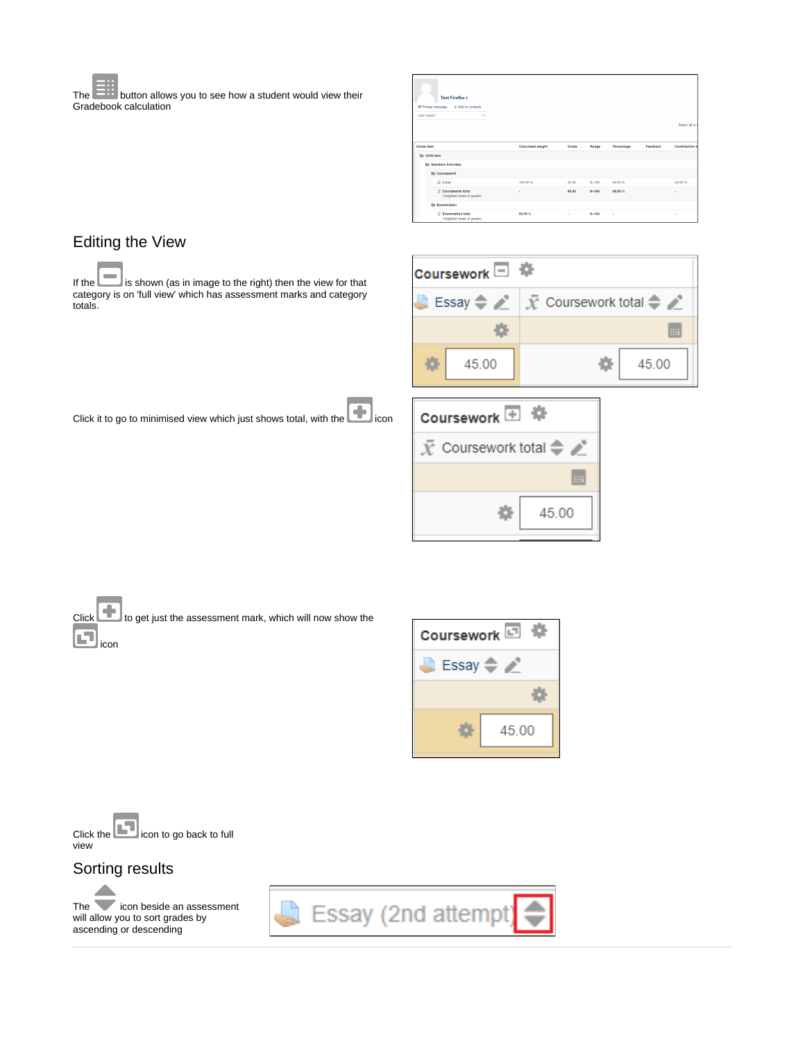The **button allows you to see how a student would view their** Gradebook calculation

| <b>Test Firefox 1</b><br><b>IF Private message</b><br>+ Add to contacts |                          |       |           |            |          |                       |
|-------------------------------------------------------------------------|--------------------------|-------|-----------|------------|----------|-----------------------|
| <b>User report</b><br>۰                                                 |                          |       |           |            |          |                       |
|                                                                         |                          |       |           |            |          | Select all or         |
|                                                                         |                          |       |           |            |          |                       |
| <b>Grade item</b>                                                       | <b>Calculated weight</b> | Grade | Range     | Percentage | Feedback | <b>Contribution t</b> |
| <b>III</b> 19/20 test                                                   |                          |       |           |            |          |                       |
| <b>Illi Standard Activities</b>                                         |                          |       |           |            |          |                       |
| <b>III</b> Coursework                                                   |                          |       |           |            |          |                       |
| <b>Essay</b>                                                            | 100.00 %                 | 45.00 | $0 - 100$ | 45.00%     |          | 45.00%                |
| Coursework total<br>Weighted mean of grades.                            | ٠                        | 45.00 | $0 - 100$ | 45,00%     |          | ٠                     |
| <b>Examination</b>                                                      |                          |       |           |            |          |                       |
| $X$ Examination total<br>Weighted mean of grades.                       | 50.00%                   | ٠     | $0 - 100$ | ٠          |          | ٠                     |

## <span id="page-3-0"></span>Editing the View

If the ight) is shown (as in image to the right) then the view for that category is on 'full view' which has assessment marks and category totals.

| Coursework □ 零 |                                                                                   |  |  |  |
|----------------|-----------------------------------------------------------------------------------|--|--|--|
|                | Essay $\Rightarrow \nearrow \mid \bar{x}$ Coursework total $\Rightarrow \nearrow$ |  |  |  |
|                | 田                                                                                 |  |  |  |
| 45.00          | 45.00                                                                             |  |  |  |

Click it to go to minimised view which just shows total, with the con-

| Coursework <sup>1</sup> |  |  |  |
|-------------------------|--|--|--|
| Coursework total<br>$=$ |  |  |  |
|                         |  |  |  |
| 45.00                   |  |  |  |

Click to get just the assessment mark, which will now show the 7ع icon



Click the **interval** icon to go back to full view

## <span id="page-3-1"></span>Sorting results

<span id="page-3-2"></span>The icon beside an assessment will allow you to sort grades by ascending or descending